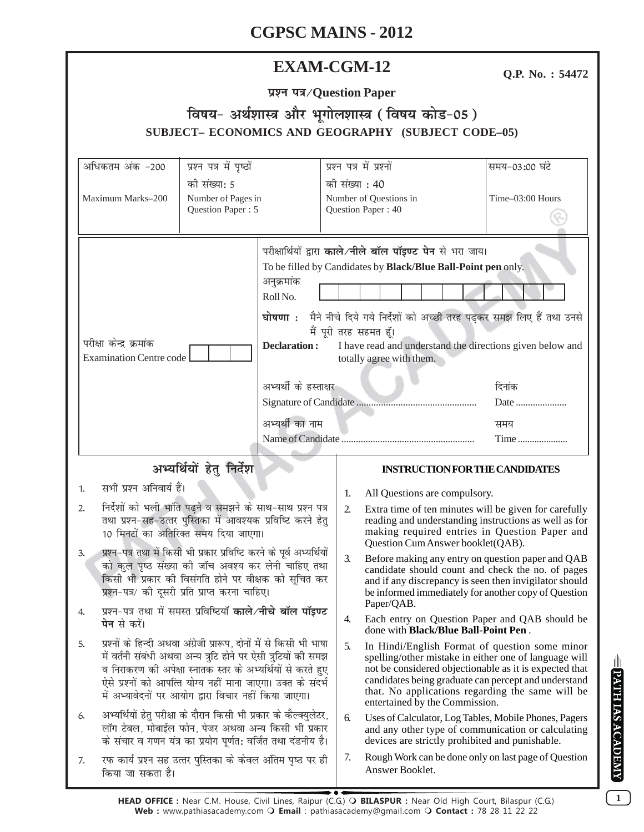| <b>EXAM-CGM-12</b>                                                                                                                                                                                                                            |                                                                                                                                                                                                                                                                                                                                |                                            |                                                   |                                                                                                                                                                                                                                                                                            |                                                                                                                                                                                                                                                                                                                 | Q.P. No.: 54472                                      |
|-----------------------------------------------------------------------------------------------------------------------------------------------------------------------------------------------------------------------------------------------|--------------------------------------------------------------------------------------------------------------------------------------------------------------------------------------------------------------------------------------------------------------------------------------------------------------------------------|--------------------------------------------|---------------------------------------------------|--------------------------------------------------------------------------------------------------------------------------------------------------------------------------------------------------------------------------------------------------------------------------------------------|-----------------------------------------------------------------------------------------------------------------------------------------------------------------------------------------------------------------------------------------------------------------------------------------------------------------|------------------------------------------------------|
| प्रश्न पत्र/Question Paper                                                                                                                                                                                                                    |                                                                                                                                                                                                                                                                                                                                |                                            |                                                   |                                                                                                                                                                                                                                                                                            |                                                                                                                                                                                                                                                                                                                 |                                                      |
| विषय- अर्थशास्त्र और भूगोलशास्त्र (विषय कोड-05)                                                                                                                                                                                               |                                                                                                                                                                                                                                                                                                                                |                                            |                                                   |                                                                                                                                                                                                                                                                                            |                                                                                                                                                                                                                                                                                                                 |                                                      |
| SUBJECT-ECONOMICS AND GEOGRAPHY (SUBJECT CODE-05)                                                                                                                                                                                             |                                                                                                                                                                                                                                                                                                                                |                                            |                                                   |                                                                                                                                                                                                                                                                                            |                                                                                                                                                                                                                                                                                                                 |                                                      |
| प्रश्न पत्र में पृष्ठों                                                                                                                                                                                                                       |                                                                                                                                                                                                                                                                                                                                |                                            |                                                   |                                                                                                                                                                                                                                                                                            |                                                                                                                                                                                                                                                                                                                 |                                                      |
|                                                                                                                                                                                                                                               | अधिकतम अंक -200                                                                                                                                                                                                                                                                                                                | प्रश्न पत्र में प्रश्नों<br>की संख्या : 40 |                                                   |                                                                                                                                                                                                                                                                                            | समय-03:00 घंटे                                                                                                                                                                                                                                                                                                  |                                                      |
| को संख्या: 5<br>Maximum Marks-200<br>Number of Pages in<br>Question Paper: 5                                                                                                                                                                  |                                                                                                                                                                                                                                                                                                                                |                                            |                                                   |                                                                                                                                                                                                                                                                                            | Number of Questions in                                                                                                                                                                                                                                                                                          | Time-03:00 Hours                                     |
|                                                                                                                                                                                                                                               |                                                                                                                                                                                                                                                                                                                                |                                            | Question Paper: 40                                |                                                                                                                                                                                                                                                                                            |                                                                                                                                                                                                                                                                                                                 |                                                      |
|                                                                                                                                                                                                                                               |                                                                                                                                                                                                                                                                                                                                |                                            |                                                   |                                                                                                                                                                                                                                                                                            |                                                                                                                                                                                                                                                                                                                 |                                                      |
| अनुक्रमांक<br>Roll No.<br>घोषणा :<br>परीक्षा केन्द्र क्रमांक<br><b>Declaration:</b><br><b>Examination Centre code</b><br>अभ्यर्थी का नाम                                                                                                      |                                                                                                                                                                                                                                                                                                                                |                                            |                                                   | परीक्षार्थियों द्वारा काले/नीले बॉल पॉइण्ट पेन से भरा जाय।<br>To be filled by Candidates by Black/Blue Ball-Point pen only.<br>मैने नीचे दिये गये निर्देशों को अच्छी तरह पढ़कर समझ लिए हैं तथा उनसे<br>मैं पूरी तरह सहमत हूँ।<br>I have read and understand the directions given below and |                                                                                                                                                                                                                                                                                                                 |                                                      |
|                                                                                                                                                                                                                                               |                                                                                                                                                                                                                                                                                                                                |                                            | totally agree with them.<br>अभ्यर्थी के हस्ताक्षर |                                                                                                                                                                                                                                                                                            |                                                                                                                                                                                                                                                                                                                 | दिनांक                                               |
|                                                                                                                                                                                                                                               |                                                                                                                                                                                                                                                                                                                                |                                            |                                                   |                                                                                                                                                                                                                                                                                            |                                                                                                                                                                                                                                                                                                                 | समय                                                  |
|                                                                                                                                                                                                                                               |                                                                                                                                                                                                                                                                                                                                |                                            |                                                   |                                                                                                                                                                                                                                                                                            |                                                                                                                                                                                                                                                                                                                 | Time                                                 |
| अभ्यर्थियों हेतु निर्देश                                                                                                                                                                                                                      |                                                                                                                                                                                                                                                                                                                                |                                            |                                                   | <b>INSTRUCTION FOR THE CANDIDATES</b>                                                                                                                                                                                                                                                      |                                                                                                                                                                                                                                                                                                                 |                                                      |
| सभी प्रश्न अनिवार्य हैं।<br>1.                                                                                                                                                                                                                |                                                                                                                                                                                                                                                                                                                                |                                            |                                                   | 1.                                                                                                                                                                                                                                                                                         | All Questions are compulsory.                                                                                                                                                                                                                                                                                   |                                                      |
| निर्देशों को भली भांति पढ़ने व समझने के साथ-साथ प्रश्न पत्र<br>2.<br>तथा प्रश्न-सह-उत्तर पुस्तिका में आवश्यक प्रविष्टि करने हेत्<br>10 मिनटों का अतिरिक्त समय दिया जाएगा।                                                                     |                                                                                                                                                                                                                                                                                                                                |                                            | 2.                                                | Extra time of ten minutes will be given for carefully<br>reading and understanding instructions as well as for<br>making required entries in Question Paper and<br>Question Cum Answer booklet (QAB).                                                                                      |                                                                                                                                                                                                                                                                                                                 |                                                      |
| प्रश्न–पत्र तथा में किसी भी प्रकार प्रविष्टि करने के पूर्व अभ्यर्थियों<br>3.<br>को कुल पृष्ठ संख्या की जॉच अवश्य कर लेनी चाहिए तथा<br>किसी भी प्रकार की विसंगति होने पर वीक्षक को सूचित कर<br>प्रश्न-पत्र/ की दूसरी प्रति प्राप्त करना चाहिए। |                                                                                                                                                                                                                                                                                                                                |                                            |                                                   | 3.                                                                                                                                                                                                                                                                                         | Before making any entry on question paper and QAB<br>candidate should count and check the no. of pages<br>and if any discrepancy is seen then invigilator should<br>be informed immediately for another copy of Question                                                                                        |                                                      |
| 4.                                                                                                                                                                                                                                            | प्रश्न-पत्र तथा में समस्त प्रविष्टियाँ <b>काले/नीचे बॉल पॉइण्ट</b><br><b>पेन</b> से करें।                                                                                                                                                                                                                                      |                                            |                                                   | 4.                                                                                                                                                                                                                                                                                         | Paper/QAB.<br>Each entry on Question Paper and QAB should be<br>done with <b>Black/Blue Ball-Point Pen</b> .                                                                                                                                                                                                    |                                                      |
| 5.                                                                                                                                                                                                                                            | प्रश्नों के हिन्दी अथवा अंग्रेजी प्रारूप, दोनों में से किसी भी भाषा<br>में वर्तनी संबंधी अथवा अन्य त्रुटि होने पर ऐसी त्रुटियों की समझ<br>व निराकरण की अपेक्षा स्नातक स्तर के अभ्यर्थियों से करते हुए<br>ऐसे प्रश्नों को आपत्ति योग्य नहीं माना जाएगा। उक्त के संदर्भ<br>में अभ्यावेदनों पर आयोग द्वारा विचार नहीं किया जाएगा। |                                            |                                                   | 5.                                                                                                                                                                                                                                                                                         | In Hindi/English Format of question some minor<br>spelling/other mistake in either one of language will<br>not be considered objectionable as it is expected that<br>candidates being graduate can percept and understand<br>that. No applications regarding the same will be<br>entertained by the Commission. |                                                      |
| 6.                                                                                                                                                                                                                                            | अभ्यर्थियों हेतु परीक्षा के दौरान किसी भी प्रकार के कैल्क्युलेटर,<br>लॉग टेबल, मोबाईल फोन, पेजर अथवा अन्य किसी भी प्रकार<br>के संचार व गणन यंत्र का प्रयोग पूर्णत: वर्जित तथा दंडनीय है।                                                                                                                                       |                                            |                                                   | 6.                                                                                                                                                                                                                                                                                         | Uses of Calculator, Log Tables, Mobile Phones, Pagers<br>and any other type of communication or calculating<br>devices are strictly prohibited and punishable.                                                                                                                                                  |                                                      |
| 7.                                                                                                                                                                                                                                            | रफ कार्य प्रश्न सह उत्तर पुस्तिका के केवल अंतिम पृष्ठ पर ही<br>किया जा सकता है।                                                                                                                                                                                                                                                |                                            |                                                   | 7.                                                                                                                                                                                                                                                                                         | Answer Booklet.                                                                                                                                                                                                                                                                                                 | Rough Work can be done only on last page of Question |

**EPATHIAS ACADEMY** 

 $\boxed{1}$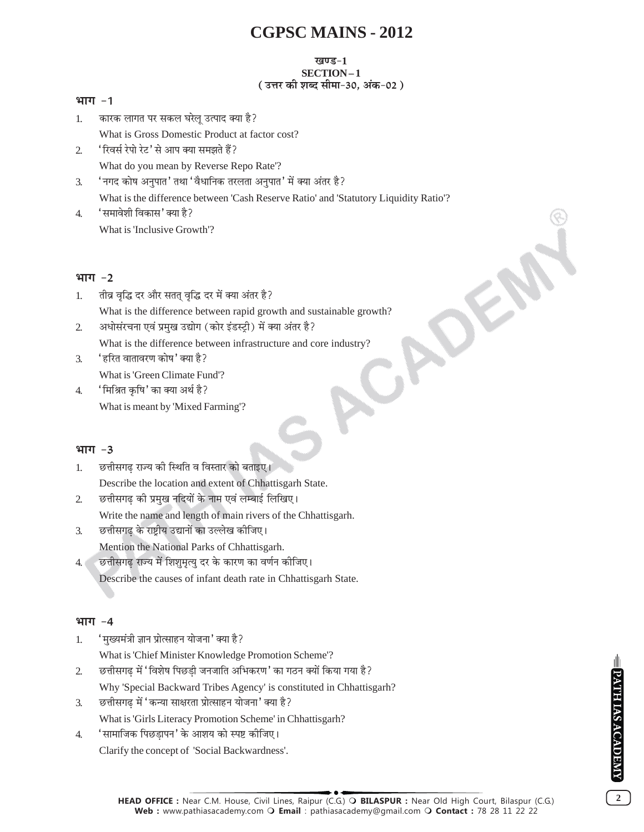#### खण्ड-1 SECTION-1 (उत्तर की शब्द सीमा-30, अंक-02)

#### भाग $-1$

- कारक लागत पर सकल घरेलू उत्पाद क्या है?  $\mathbf{1}$ . What is Gross Domestic Product at factor cost?
- 'रिवर्स रेपो रेट' से आप क्या समझते हैं?  $\mathfrak{D}$ What do you mean by Reverse Repo Rate'?
- 'नगद कोष अनुपात' तथा 'वैधानिक तरलता अनुपात' में क्या अंतर है? 3. What is the difference between 'Cash Reserve Ratio' and 'Statutory Liquidity Ratio'?
- 'समावेशी विकास' क्या है?  $4.$ What is 'Inclusive Growth'?

#### भाग $-2$

- तीव्र वृद्धि दर और सतत् वृद्धि दर में क्या अंतर है?  $\mathbf{1}$ What is the difference between rapid growth and sustainable growth?
- अधोसंरचना एवं प्रमुख उद्योग (कोर इंडस्ट्री) में क्या अंतर है?  $\overline{2}$ . What is the difference between infrastructure and core industry?
- 'हरित वातावरण कोष' क्या है?  $\mathcal{F}$ What is 'Green Climate Fund'?
- 'मिश्रित कषि' का क्या अर्थ है?  $\overline{4}$ . What is meant by 'Mixed Farming'?

#### भाग $-3$

- छत्तीसगढ राज्य की स्थिति व विस्तार को बताइए।  $1<sub>1</sub>$ Describe the location and extent of Chhattisgarh State.
- छत्तीसगढ की प्रमुख नदियों के नाम एवं लम्बाई लिखिए।  $\overline{2}$ . Write the name and length of main rivers of the Chhattisgarh.
- छत्तीसगढ़ के राष्ट्रीय उद्यानों का उल्लेख कीजिए।  $\mathcal{R}$ Mention the National Parks of Chhattisgarh.
- छत्तीसगढ़ राज्य में शिशुमृत्यु दर के कारण का वर्णन कीजिए।  $4.1$ Describe the causes of infant death rate in Chhattisgarh State.

#### भाग -4

- 'मुख्यमंत्री ज्ञान प्रोत्साहन योजना' क्या है?  $\mathbf{1}$ 
	- What is 'Chief Minister Knowledge Promotion Scheme'?
- छत्तीसगढ़ में 'विशेष पिछड़ी जनजाति अभिकरण' का गठन क्यों किया गया है?  $\overline{2}$ . Why 'Special Backward Tribes Agency' is constituted in Chhattisgarh?
- छत्तीसगढ़ में 'कन्या साक्षरता प्रोत्साहन योजना' क्या है? 3. What is 'Girls Literacy Promotion Scheme' in Chhattisgarh?
- 'सामाजिक पिछडापन' के आशय को स्पष्ट कीजिए।  $\overline{4}$ . Clarify the concept of 'Social Backwardness'.

 $\overline{2}$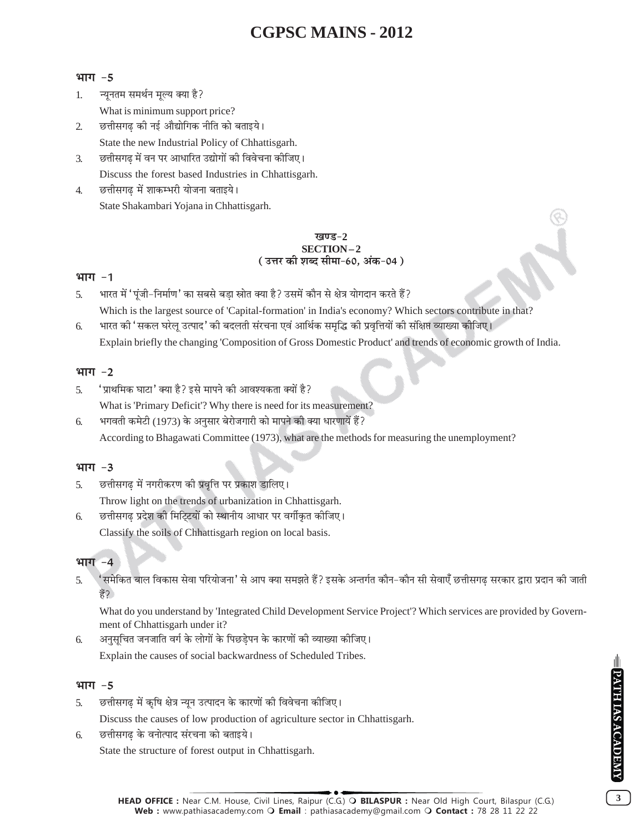#### भाग $-5$

- न्यूनतम समर्थन मूल्य क्या है?  $\mathbf{1}$ . What is minimum support price?
- छत्तीसगढ की नई औद्योगिक नीति को बताइये।  $\overline{2}$ State the new Industrial Policy of Chhattisgarh.
- छत्तीसगढ़ में वन पर आधारित उद्योगों की विवेचना कीजिए। 3. Discuss the forest based Industries in Chhattisgarh.
- छत्तीसगढ में शाकम्भरी योजना बताइये।  $\overline{4}$ . State Shakambari Yojana in Chhattisgarh.

#### <u>ਸ਼ਕਾਰ – 2</u> SECTION-2 ( उत्तर की शब्द सीमा-60. अंक-04 )

#### भाग -1

- भारत में 'पूंजी-निर्माण' का सबसे बडा स्रोत क्या है? उसमें कौन से क्षेत्र योगदान करते हैं?  $\overline{5}$ Which is the largest source of 'Capital-formation' in India's economy? Which sectors contribute in that?
- भारत की 'सकल घरेलू उत्पाद' की बदलती संरचना एवं आर्थिक समृद्धि की प्रवृत्तियों की संक्षिप्त व्याख्या कीजिए। 6. Explain briefly the changing 'Composition of Gross Domestic Product' and trends of economic growth of India.

#### भाग $-2$

- 'प्राथमिक घाटा' क्या है? इसे मापने की आवश्यकता क्यों है?  $\overline{5}$ . What is 'Primary Deficit'? Why there is need for its measurement?
- भगवती कमेटी (1973) के अनुसार बेरोजगारी को मापने की क्या धारणायें हैं? 6. According to Bhagawati Committee (1973), what are the methods for measuring the unemployment?

#### भाग $-3$

छत्तीसगढ में नगरीकरण की प्रवृत्ति पर प्रकाश डालिए। 5.

Throw light on the trends of urbanization in Chhattisgarh.

छत्तीसगढ प्रदेश की मिटिटयों को स्थानीय आधार पर वर्गीकृत कीजिए।

Classify the soils of Chhattisgarh region on local basis.

#### भाग $-4$

6.

' समेकित बाल विकास सेवा परियोजना' से आप क्या समझते हैं? इसके अन्तर्गत कौन–कौन सी सेवाएँ छत्तीसगढ़ सरकार द्वारा प्रदान की जाती  $5<sub>1</sub>$ हें?

What do you understand by 'Integrated Child Development Service Project'? Which services are provided by Government of Chhattisgarh under it?

अनुसूचित जनजाति वर्ग के लोगों के पिछडेपन के कारणों की व्याख्या कीजिए। 6. Explain the causes of social backwardness of Scheduled Tribes.

#### भाग $-5$

छत्तीसगढ में कृषि क्षेत्र न्यून उत्पादन के कारणों की विवेचना कीजिए।  $\overline{5}$ .

Discuss the causes of low production of agriculture sector in Chhattisgarh.

छत्तीसगढ के वनोत्पाद संरचना को बताइये। 6.

State the structure of forest output in Chhattisgarh.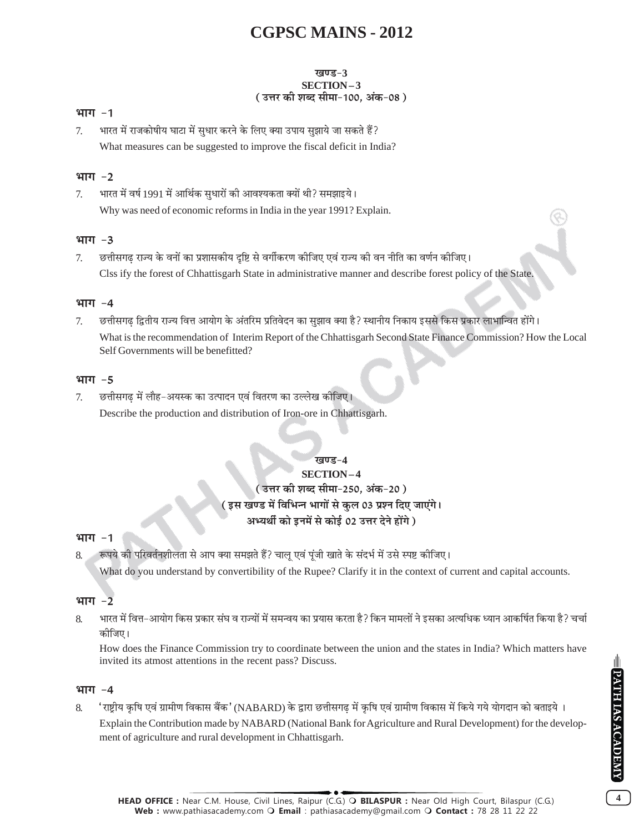#### खण्ड-3 SECTION-3 ( उत्तर की शब्द सीमा-100, अंक-08 )

#### भाग $-1$

भारत में राजकोषीय घाटा में सुधार करने के लिए क्या उपाय सुझाये जा सकते हैं?  $\tau$ What measures can be suggested to improve the fiscal deficit in India?

### भाग -2

भारत में वर्ष 1991 में आर्थिक सुधारों की आवश्यकता क्यों थी? समझाइये।  $\tau$ Why was need of economic reforms in India in the year 1991? Explain.

#### $4TTT - 3$

छत्तीसगढ़ राज्य के वनों का प्रशासकीय दृष्टि से वर्गीकरण कीजिए एवं राज्य की वन नीति का वर्णन कीजिए।  $\tau$ Clss ify the forest of Chhattisgarh State in administrative manner and describe forest policy of the State.

#### भाग -4

छत्तीसगढ द्वितीय राज्य वित्त आयोग के अंतरिम प्रतिवेदन का सुझाव क्या है? स्थानीय निकाय इससे किस प्रकार लाभान्वित होंगे।  $\tau$ What is the recommendation of Interim Report of the Chhattisgarh Second State Finance Commission? How the Local Self Governments will be benefitted?

#### भाग $-5$

छत्तीसगढ़ में लौह–अयस्क का उत्पादन एवं वितरण का उल्लेख कीजिए।  $\tau$ Describe the production and distribution of Iron-ore in Chhattisgarh.

#### खण्ड−4

### **SECTION-4** ( उत्तर की शब्द सीमा-250, अंक-20 ) ( इस खण्ड में विभिन्न भागों से कुल 03 प्रश्न दिए जाएंगे। अभ्यर्थी को इनमें से कोई 02 उत्तर देने होंगे )

#### भाग -1

रूपये की परिवर्तनशीलता से आप क्या समझते हैं? चालू एवं पूंजी खाते के संदर्भ में उसे स्पष्ट कीजिए।  $\mathbf{8}$ 

What do you understand by convertibility of the Rupee? Clarify it in the context of current and capital accounts.

#### भाग  $-2$

भारत में वित्त–आयोग किस प्रकार संघ व राज्यों में समन्वय का प्रयास करता है? किन मामलों ने इसका अत्यधिक ध्यान आकर्षित किया है? चर्चा  $\mathsf{R}$ कोजिए।

How does the Finance Commission try to coordinate between the union and the states in India? Which matters have invited its atmost attentions in the recent pass? Discuss.

#### भाग $-4$

'राष्ट्रीय कृषि एवं ग्रामीण विकास बैंक' (NABARD) के द्वारा छत्तीसगढ़ में कृषि एवं ग्रामीण विकास में किये गये योगदान को बताइये । 8. Explain the Contribution made by NABARD (National Bank for Agriculture and Rural Development) for the development of agriculture and rural development in Chhattisgarh.

PATH IAS ACADEMY